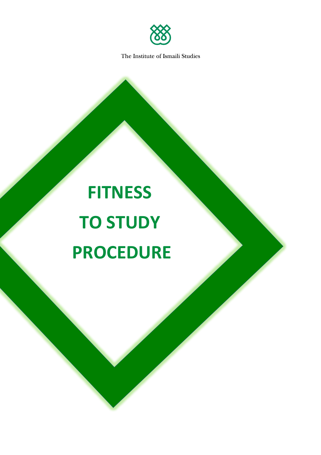

# **FITNESS TO STUDY PROCEDURE**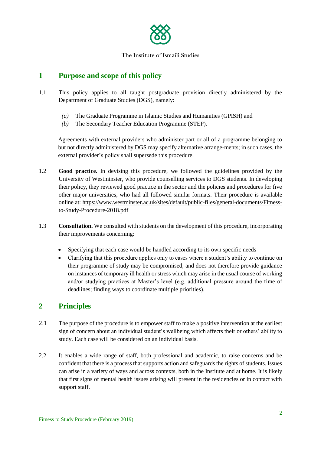

# **1 Purpose and scope of this policy**

- 1.1 This policy applies to all taught postgraduate provision directly administered by the Department of Graduate Studies (DGS), namely:
	- *(a)* The Graduate Programme in Islamic Studies and Humanities (GPISH) and
	- *(b)* The Secondary Teacher Education Programme (STEP).

Agreements with external providers who administer part or all of a programme belonging to but not directly administered by DGS may specify alternative arrange-ments; in such cases, the external provider's policy shall supersede this procedure.

- 1.2 **Good practice.** In devising this procedure, we followed the guidelines provided by the University of Westminster, who provide counselling services to DGS students. In developing their policy, they reviewed good practice in the sector and the policies and procedures for five other major universities, who had all followed similar formats. Their procedure is available online at[: https://www.westminster.ac.uk/sites/default/public-files/general-documents/Fitness](https://www.westminster.ac.uk/sites/default/public-files/general-documents/Fitness-to-Study-Procedure-2018.pdf)[to-Study-Procedure-2018.pdf](https://www.westminster.ac.uk/sites/default/public-files/general-documents/Fitness-to-Study-Procedure-2018.pdf)
- 1.3 **Consultation.** We consulted with students on the development of this procedure, incorporating their improvements concerning:
	- Specifying that each case would be handled according to its own specific needs
	- Clarifying that this procedure applies only to cases where a student's ability to continue on their programme of study may be compromised, and does not therefore provide guidance on instances of temporary ill health or stress which may arise in the usual course of working and/or studying practices at Master's level (e.g. additional pressure around the time of deadlines; finding ways to coordinate multiple priorities).

# **2 Principles**

- 2.1 The purpose of the procedure is to empower staff to make a positive intervention at the earliest sign of concern about an individual student's wellbeing which affects their or others' ability to study. Each case will be considered on an individual basis.
- 2.2 It enables a wide range of staff, both professional and academic, to raise concerns and be confident that there is a process that supports action and safeguards the rights of students. Issues can arise in a variety of ways and across contexts, both in the Institute and at home. It is likely that first signs of mental health issues arising will present in the residencies or in contact with support staff.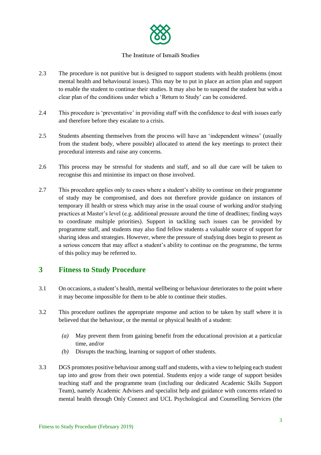

- 2.3 The procedure is not punitive but is designed to support students with health problems (most mental health and behavioural issues). This may be to put in place an action plan and support to enable the student to continue their studies. It may also be to suspend the student but with a clear plan of the conditions under which a 'Return to Study' can be considered.
- 2.4 This procedure is 'preventative' in providing staff with the confidence to deal with issues early and therefore before they escalate to a crisis.
- 2.5 Students absenting themselves from the process will have an 'independent witness' (usually from the student body, where possible) allocated to attend the key meetings to protect their procedural interests and raise any concerns.
- 2.6 This process may be stressful for students and staff, and so all due care will be taken to recognise this and minimise its impact on those involved.
- 2.7 This procedure applies only to cases where a student's ability to continue on their programme of study may be compromised, and does not therefore provide guidance on instances of temporary ill health or stress which may arise in the usual course of working and/or studying practices at Master's level (e.g. additional pressure around the time of deadlines; finding ways to coordinate multiple priorities). Support in tackling such issues can be provided by programme staff, and students may also find fellow students a valuable source of support for sharing ideas and strategies. However, where the pressure of studying does begin to present as a serious concern that may affect a student's ability to continue on the programme, the terms of this policy may be referred to.

## **3 Fitness to Study Procedure**

- 3.1 On occasions, a student's health, mental wellbeing or behaviour deteriorates to the point where it may become impossible for them to be able to continue their studies.
- 3.2 This procedure outlines the appropriate response and action to be taken by staff where it is believed that the behaviour, or the mental or physical health of a student:
	- *(a)* May prevent them from gaining benefit from the educational provision at a particular time, and/or
	- *(b)* Disrupts the teaching, learning or support of other students.
- 3.3 DGS promotes positive behaviour among staff and students, with a view to helping each student tap into and grow from their own potential. Students enjoy a wide range of support besides teaching staff and the programme team (including our dedicated Academic Skills Support Team), namely Academic Advisers and specialist help and guidance with concerns related to mental health through Only Connect and UCL Psychological and Counselling Services (the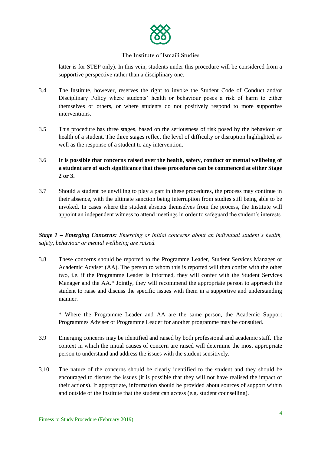

latter is for STEP only). In this vein, students under this procedure will be considered from a supportive perspective rather than a disciplinary one.

- 3.4 The Institute, however, reserves the right to invoke the Student Code of Conduct and/or Disciplinary Policy where students' health or behaviour poses a risk of harm to either themselves or others, or where students do not positively respond to more supportive interventions.
- 3.5 This procedure has three stages, based on the seriousness of risk posed by the behaviour or health of a student. The three stages reflect the level of difficulty or disruption highlighted, as well as the response of a student to any intervention.
- 3.6 **It is possible that concerns raised over the health, safety, conduct or mental wellbeing of a student are of such significance that these procedures can be commenced at either Stage 2 or 3.**
- 3.7 Should a student be unwilling to play a part in these procedures, the process may continue in their absence, with the ultimate sanction being interruption from studies still being able to be invoked. In cases where the student absents themselves from the process, the Institute will appoint an independent witness to attend meetings in order to safeguard the student's interests.

*Stage 1 – Emerging Concerns: Emerging or initial concerns about an individual student's health, safety, behaviour or mental wellbeing are raised.*

3.8 These concerns should be reported to the Programme Leader, Student Services Manager or Academic Adviser (AA). The person to whom this is reported will then confer with the other two, i.e. if the Programme Leader is informed, they will confer with the Student Services Manager and the AA.\* Jointly, they will recommend the appropriate person to approach the student to raise and discuss the specific issues with them in a supportive and understanding manner.

\* Where the Programme Leader and AA are the same person, the Academic Support Programmes Adviser or Programme Leader for another programme may be consulted.

- 3.9 Emerging concerns may be identified and raised by both professional and academic staff. The context in which the initial causes of concern are raised will determine the most appropriate person to understand and address the issues with the student sensitively.
- 3.10 The nature of the concerns should be clearly identified to the student and they should be encouraged to discuss the issues (it is possible that they will not have realised the impact of their actions). If appropriate, information should be provided about sources of support within and outside of the Institute that the student can access (e.g. student counselling).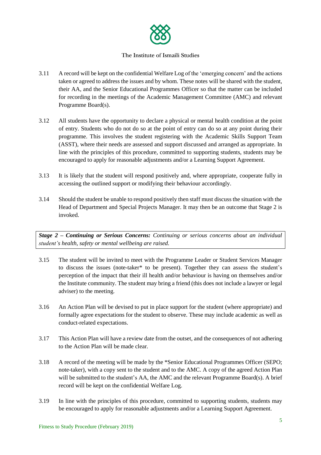

- 3.11 A record will be kept on the confidential Welfare Log of the 'emerging concern' and the actions taken or agreed to address the issues and by whom. These notes will be shared with the student, their AA, and the Senior Educational Programmes Officer so that the matter can be included for recording in the meetings of the Academic Management Committee (AMC) and relevant Programme Board(s).
- 3.12 All students have the opportunity to declare a physical or mental health condition at the point of entry. Students who do not do so at the point of entry can do so at any point during their programme. This involves the student registering with the Academic Skills Support Team (ASST), where their needs are assessed and support discussed and arranged as appropriate. In line with the principles of this procedure, committed to supporting students, students may be encouraged to apply for reasonable adjustments and/or a Learning Support Agreement.
- 3.13 It is likely that the student will respond positively and, where appropriate, cooperate fully in accessing the outlined support or modifying their behaviour accordingly.
- 3.14 Should the student be unable to respond positively then staff must discuss the situation with the Head of Department and Special Projects Manager. It may then be an outcome that Stage 2 is invoked.

*Stage 2 – Continuing or Serious Concerns: Continuing or serious concerns about an individual student's health, safety or mental wellbeing are raised.*

- 3.15 The student will be invited to meet with the Programme Leader or Student Services Manager to discuss the issues (note-taker\* to be present). Together they can assess the student's perception of the impact that their ill health and/or behaviour is having on themselves and/or the Institute community. The student may bring a friend (this does not include a lawyer or legal adviser) to the meeting.
- 3.16 An Action Plan will be devised to put in place support for the student (where appropriate) and formally agree expectations for the student to observe. These may include academic as well as conduct-related expectations.
- 3.17 This Action Plan will have a review date from the outset, and the consequences of not adhering to the Action Plan will be made clear.
- 3.18 A record of the meeting will be made by the \*Senior Educational Programmes Officer (SEPO; note-taker), with a copy sent to the student and to the AMC. A copy of the agreed Action Plan will be submitted to the student's AA, the AMC and the relevant Programme Board(s). A brief record will be kept on the confidential Welfare Log.
- 3.19 In line with the principles of this procedure, committed to supporting students, students may be encouraged to apply for reasonable adjustments and/or a Learning Support Agreement.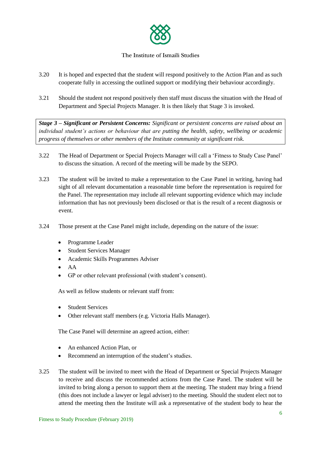

- 3.20 It is hoped and expected that the student will respond positively to the Action Plan and as such cooperate fully in accessing the outlined support or modifying their behaviour accordingly.
- 3.21 Should the student not respond positively then staff must discuss the situation with the Head of Department and Special Projects Manager. It is then likely that Stage 3 is invoked.

*Stage 3 – Significant or Persistent Concerns: Significant or persistent concerns are raised about an individual student's actions or behaviour that are putting the health, safety, wellbeing or academic progress of themselves or other members of the Institute community at significant risk.*

- 3.22 The Head of Department or Special Projects Manager will call a 'Fitness to Study Case Panel' to discuss the situation. A record of the meeting will be made by the SEPO.
- 3.23 The student will be invited to make a representation to the Case Panel in writing, having had sight of all relevant documentation a reasonable time before the representation is required for the Panel. The representation may include all relevant supporting evidence which may include information that has not previously been disclosed or that is the result of a recent diagnosis or event.
- 3.24 Those present at the Case Panel might include, depending on the nature of the issue:
	- Programme Leader
	- Student Services Manager
	- Academic Skills Programmes Adviser
	- AA
	- GP or other relevant professional (with student's consent).

As well as fellow students or relevant staff from:

- Student Services
- Other relevant staff members (e.g. Victoria Halls Manager).

The Case Panel will determine an agreed action, either:

- An enhanced Action Plan, or
- Recommend an interruption of the student's studies.
- 3.25 The student will be invited to meet with the Head of Department or Special Projects Manager to receive and discuss the recommended actions from the Case Panel. The student will be invited to bring along a person to support them at the meeting. The student may bring a friend (this does not include a lawyer or legal adviser) to the meeting. Should the student elect not to attend the meeting then the Institute will ask a representative of the student body to hear the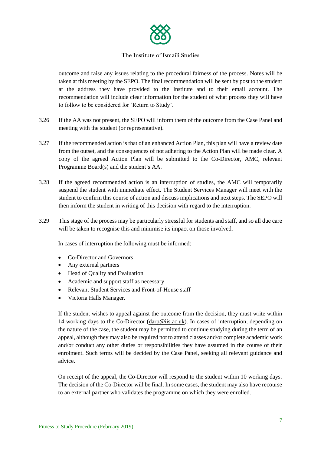

outcome and raise any issues relating to the procedural fairness of the process*.* Notes will be taken at this meeting by the SEPO. The final recommendation will be sent by post to the student at the address they have provided to the Institute and to their email account. The recommendation will include clear information for the student of what process they will have to follow to be considered for 'Return to Study'.

- 3.26 If the AA was not present, the SEPO will inform them of the outcome from the Case Panel and meeting with the student (or representative).
- 3.27 If the recommended action is that of an enhanced Action Plan, this plan will have a review date from the outset, and the consequences of not adhering to the Action Plan will be made clear. A copy of the agreed Action Plan will be submitted to the Co-Director, AMC, relevant Programme Board(s) and the student's AA.
- 3.28 If the agreed recommended action is an interruption of studies, the AMC will temporarily suspend the student with immediate effect. The Student Services Manager will meet with the student to confirm this course of action and discuss implications and next steps. The SEPO will then inform the student in writing of this decision with regard to the interruption.
- 3.29 This stage of the process may be particularly stressful for students and staff, and so all due care will be taken to recognise this and minimise its impact on those involved.

In cases of interruption the following must be informed:

- Co-Director and Governors
- Any external partners
- Head of Quality and Evaluation
- Academic and support staff as necessary
- Relevant Student Services and Front-of-House staff
- Victoria Halls Manager.

If the student wishes to appeal against the outcome from the decision, they must write within 14 working days to the Co-Director [\(darp@iis.ac.uk\)](mailto:darp@iis.ac.uk). In cases of interruption, depending on the nature of the case, the student may be permitted to continue studying during the term of an appeal, although they may also be required not to attend classes and/or complete academic work and/or conduct any other duties or responsibilities they have assumed in the course of their enrolment. Such terms will be decided by the Case Panel, seeking all relevant guidance and advice.

On receipt of the appeal, the Co-Director will respond to the student within 10 working days. The decision of the Co-Director will be final. In some cases, the student may also have recourse to an external partner who validates the programme on which they were enrolled.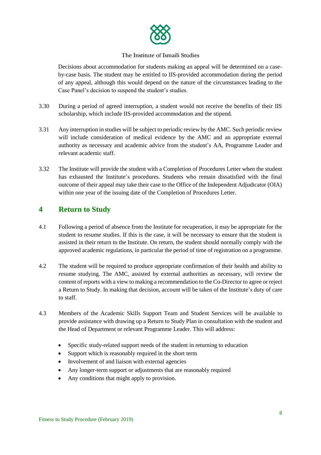

Decisions about accommodation for students making an appeal will be determined on a caseby-case basis. The student may be entitled to IIS-provided accommodation during the period of any appeal, although this would depend on the nature of the circumstances leading to the Case Panel's decision to suspend the student's studies.

- 3.30 During a period of agreed interruption, a student would not receive the benefits of their IIS scholarship, which include IIS-provided accommodation and the stipend.
- 3.31 Any interruption in studies will be subject to periodic review by the AMC. Such periodic review will include consideration of medical evidence by the AMC and an appropriate external authority as necessary and academic advice from the student's AA, Programme Leader and relevant academic staff.
- 3.32 The Institute will provide the student with a Completion of Procedures Letter when the student has exhausted the Institute's procedures. Students who remain dissatisfied with the final outcome of their appeal may take their case to the Office of the Independent Adjudicator (OIA) within one year of the issuing date of the Completion of Procedures Letter.

## **4 Return to Study**

- 4.1 Following a period of absence from the Institute for recuperation, it may be appropriate for the student to resume studies. If this is the case, it will be necessary to ensure that the student is assisted in their return to the Institute. On return, the student should normally comply with the approved academic regulations, in particular the period of time of registration on a programme.
- 4.2 The student will be required to produce appropriate confirmation of their health and ability to resume studying. The AMC, assisted by external authorities as necessary, will review the content of reports with a view to making a recommendation to the Co-Director to agree or reject a Return to Study. In making that decision, account will be taken of the Institute's duty of care to staff.
- 4.3 Members of the Academic Skills Support Team and Student Services will be available to provide assistance with drawing up a Return to Study Plan in consultation with the student and the Head of Department or relevant Programme Leader. This will address:
	- Specific study-related support needs of the student in returning to education
	- Support which is reasonably required in the short term
	- Involvement of and liaison with external agencies
	- Any longer-term support or adjustments that are reasonably required
	- Any conditions that might apply to provision.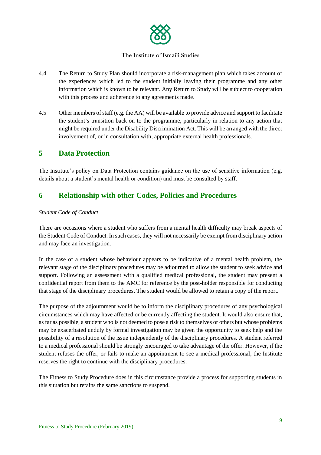

- 4.4 The Return to Study Plan should incorporate a risk-management plan which takes account of the experiences which led to the student initially leaving their programme and any other information which is known to be relevant. Any Return to Study will be subject to cooperation with this process and adherence to any agreements made.
- 4.5 Other members of staff (e.g. the AA) will be available to provide advice and support to facilitate the student's transition back on to the programme, particularly in relation to any action that might be required under the Disability Discrimination Act. This will be arranged with the direct involvement of, or in consultation with, appropriate external health professionals.

## **5 Data Protection**

The Institute's policy on Data Protection contains guidance on the use of sensitive information (e.g. details about a student's mental health or condition) and must be consulted by staff.

# **6 Relationship with other Codes, Policies and Procedures**

## *Student Code of Conduct*

There are occasions where a student who suffers from a mental health difficulty may break aspects of the Student Code of Conduct. In such cases, they will not necessarily be exempt from disciplinary action and may face an investigation.

In the case of a student whose behaviour appears to be indicative of a mental health problem, the relevant stage of the disciplinary procedures may be adjourned to allow the student to seek advice and support. Following an assessment with a qualified medical professional, the student may present a confidential report from them to the AMC for reference by the post-holder responsible for conducting that stage of the disciplinary procedures. The student would be allowed to retain a copy of the report.

The purpose of the adjournment would be to inform the disciplinary procedures of any psychological circumstances which may have affected or be currently affecting the student. It would also ensure that, as far as possible, a student who is not deemed to pose a risk to themselves or others but whose problems may be exacerbated unduly by formal investigation may be given the opportunity to seek help and the possibility of a resolution of the issue independently of the disciplinary procedures. A student referred to a medical professional should be strongly encouraged to take advantage of the offer. However, if the student refuses the offer, or fails to make an appointment to see a medical professional, the Institute reserves the right to continue with the disciplinary procedures.

The Fitness to Study Procedure does in this circumstance provide a process for supporting students in this situation but retains the same sanctions to suspend.